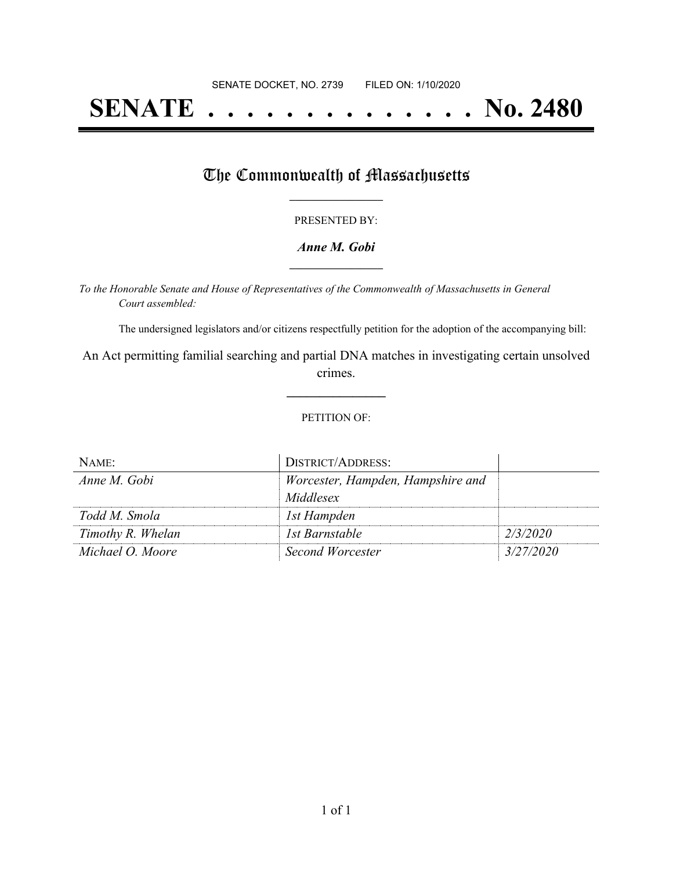# **SENATE . . . . . . . . . . . . . . No. 2480**

## The Commonwealth of Massachusetts

#### PRESENTED BY:

#### *Anne M. Gobi* **\_\_\_\_\_\_\_\_\_\_\_\_\_\_\_\_\_**

*To the Honorable Senate and House of Representatives of the Commonwealth of Massachusetts in General Court assembled:*

The undersigned legislators and/or citizens respectfully petition for the adoption of the accompanying bill:

An Act permitting familial searching and partial DNA matches in investigating certain unsolved crimes.

**\_\_\_\_\_\_\_\_\_\_\_\_\_\_\_**

#### PETITION OF:

| NAME:             | <b>DISTRICT/ADDRESS:</b>          |           |
|-------------------|-----------------------------------|-----------|
| Anne M. Gobi      | Worcester, Hampden, Hampshire and |           |
|                   | Middlesex                         |           |
| Todd M. Smola     | 1st Hampden                       |           |
| Timothy R. Whelan | 1st Barnstable                    | 2/3/2020  |
| Michael O. Moore  | Second Worcester                  | 3/27/2020 |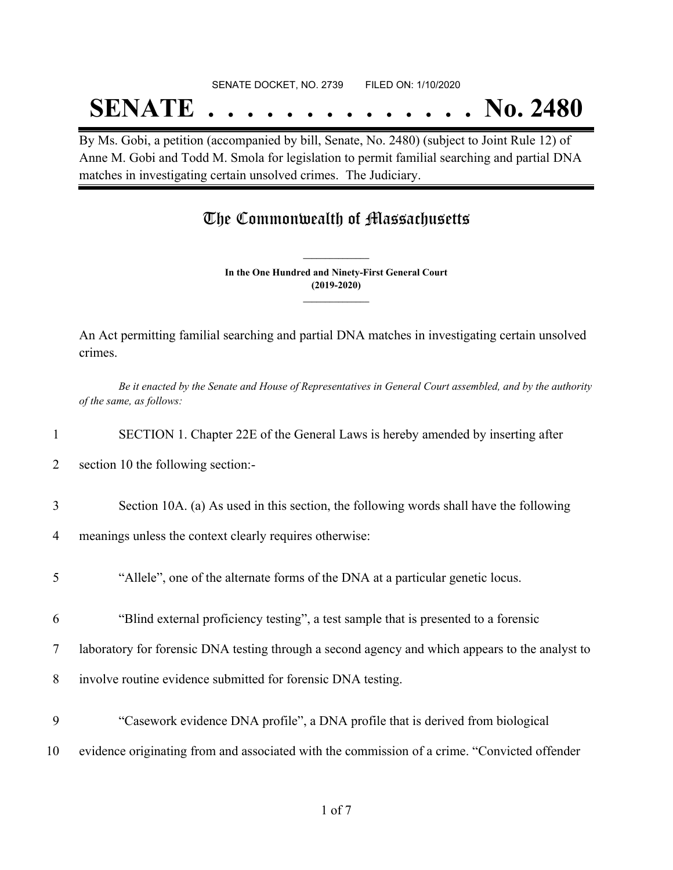#### SENATE DOCKET, NO. 2739 FILED ON: 1/10/2020

## **SENATE . . . . . . . . . . . . . . No. 2480**

By Ms. Gobi, a petition (accompanied by bill, Senate, No. 2480) (subject to Joint Rule 12) of Anne M. Gobi and Todd M. Smola for legislation to permit familial searching and partial DNA matches in investigating certain unsolved crimes. The Judiciary.

### The Commonwealth of Massachusetts

**In the One Hundred and Ninety-First General Court (2019-2020) \_\_\_\_\_\_\_\_\_\_\_\_\_\_\_**

**\_\_\_\_\_\_\_\_\_\_\_\_\_\_\_**

An Act permitting familial searching and partial DNA matches in investigating certain unsolved crimes.

Be it enacted by the Senate and House of Representatives in General Court assembled, and by the authority *of the same, as follows:*

- 1 SECTION 1. Chapter 22E of the General Laws is hereby amended by inserting after
- 2 section 10 the following section:-
- 3 Section 10A. (a) As used in this section, the following words shall have the following
- 4 meanings unless the context clearly requires otherwise:
- 5 "Allele", one of the alternate forms of the DNA at a particular genetic locus.
- 6 "Blind external proficiency testing", a test sample that is presented to a forensic
- 7 laboratory for forensic DNA testing through a second agency and which appears to the analyst to
- 8 involve routine evidence submitted for forensic DNA testing.
- 9 "Casework evidence DNA profile", a DNA profile that is derived from biological
- 10 evidence originating from and associated with the commission of a crime. "Convicted offender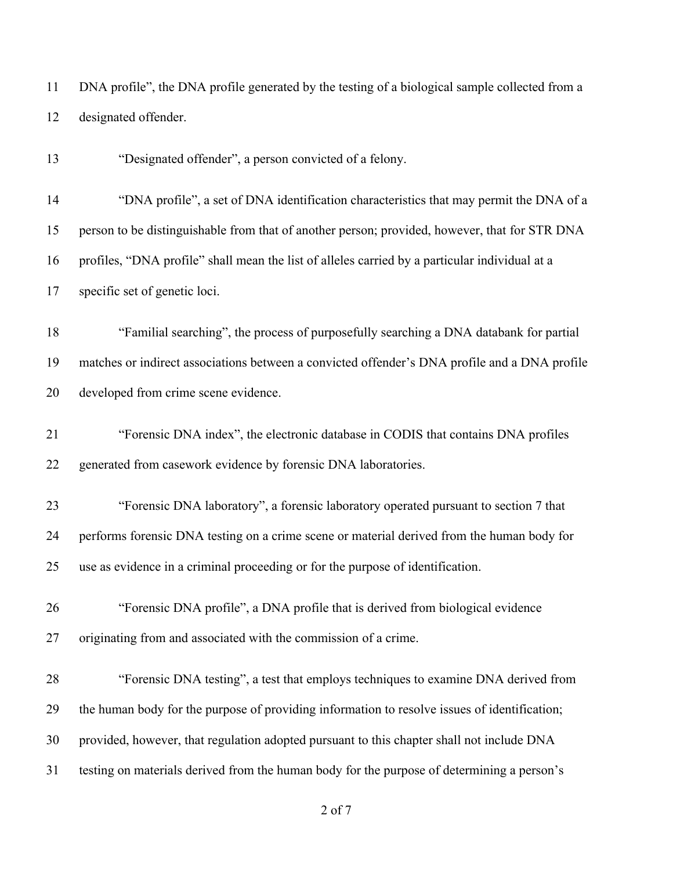DNA profile", the DNA profile generated by the testing of a biological sample collected from a designated offender.

"Designated offender", a person convicted of a felony.

 "DNA profile", a set of DNA identification characteristics that may permit the DNA of a person to be distinguishable from that of another person; provided, however, that for STR DNA profiles, "DNA profile" shall mean the list of alleles carried by a particular individual at a specific set of genetic loci.

 "Familial searching", the process of purposefully searching a DNA databank for partial matches or indirect associations between a convicted offender's DNA profile and a DNA profile developed from crime scene evidence.

 "Forensic DNA index", the electronic database in CODIS that contains DNA profiles generated from casework evidence by forensic DNA laboratories.

 "Forensic DNA laboratory", a forensic laboratory operated pursuant to section 7 that performs forensic DNA testing on a crime scene or material derived from the human body for use as evidence in a criminal proceeding or for the purpose of identification.

 "Forensic DNA profile", a DNA profile that is derived from biological evidence originating from and associated with the commission of a crime.

 "Forensic DNA testing", a test that employs techniques to examine DNA derived from the human body for the purpose of providing information to resolve issues of identification; provided, however, that regulation adopted pursuant to this chapter shall not include DNA testing on materials derived from the human body for the purpose of determining a person's

of 7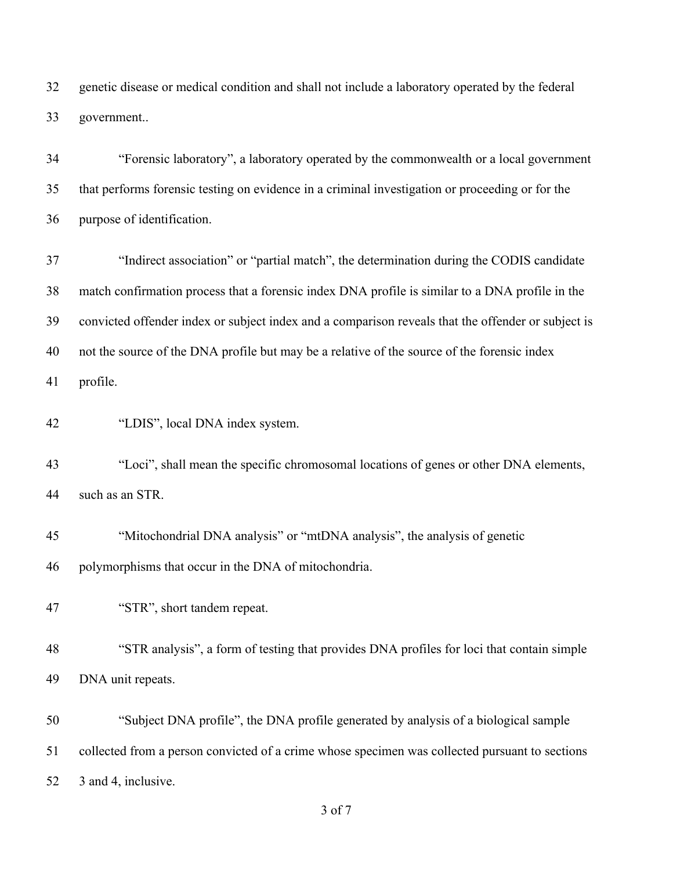genetic disease or medical condition and shall not include a laboratory operated by the federal government..

 "Forensic laboratory", a laboratory operated by the commonwealth or a local government that performs forensic testing on evidence in a criminal investigation or proceeding or for the purpose of identification.

 "Indirect association" or "partial match", the determination during the CODIS candidate match confirmation process that a forensic index DNA profile is similar to a DNA profile in the convicted offender index or subject index and a comparison reveals that the offender or subject is not the source of the DNA profile but may be a relative of the source of the forensic index profile.

"LDIS", local DNA index system.

 "Loci", shall mean the specific chromosomal locations of genes or other DNA elements, such as an STR.

 "Mitochondrial DNA analysis" or "mtDNA analysis", the analysis of genetic polymorphisms that occur in the DNA of mitochondria.

"STR", short tandem repeat.

 "STR analysis", a form of testing that provides DNA profiles for loci that contain simple DNA unit repeats.

 "Subject DNA profile", the DNA profile generated by analysis of a biological sample collected from a person convicted of a crime whose specimen was collected pursuant to sections 3 and 4, inclusive.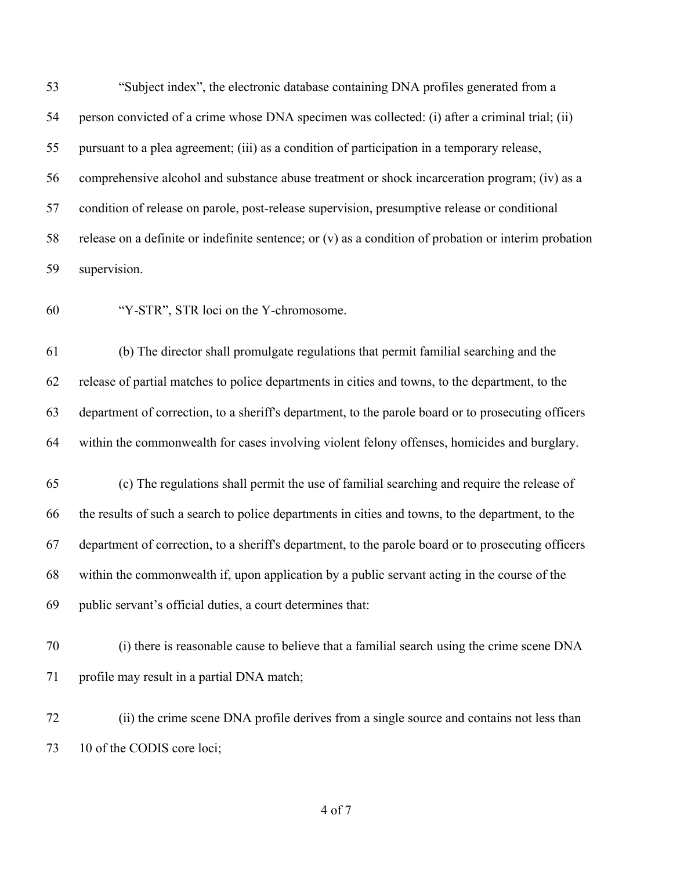"Subject index", the electronic database containing DNA profiles generated from a person convicted of a crime whose DNA specimen was collected: (i) after a criminal trial; (ii) pursuant to a plea agreement; (iii) as a condition of participation in a temporary release, comprehensive alcohol and substance abuse treatment or shock incarceration program; (iv) as a condition of release on parole, post-release supervision, presumptive release or conditional release on a definite or indefinite sentence; or (v) as a condition of probation or interim probation supervision.

"Y-STR", STR loci on the Y-chromosome.

 (b) The director shall promulgate regulations that permit familial searching and the release of partial matches to police departments in cities and towns, to the department, to the department of correction, to a sheriff's department, to the parole board or to prosecuting officers within the commonwealth for cases involving violent felony offenses, homicides and burglary.

 (c) The regulations shall permit the use of familial searching and require the release of the results of such a search to police departments in cities and towns, to the department, to the department of correction, to a sheriff's department, to the parole board or to prosecuting officers within the commonwealth if, upon application by a public servant acting in the course of the public servant's official duties, a court determines that:

 (i) there is reasonable cause to believe that a familial search using the crime scene DNA 71 profile may result in a partial DNA match;

 (ii) the crime scene DNA profile derives from a single source and contains not less than 73 10 of the CODIS core loci;

of 7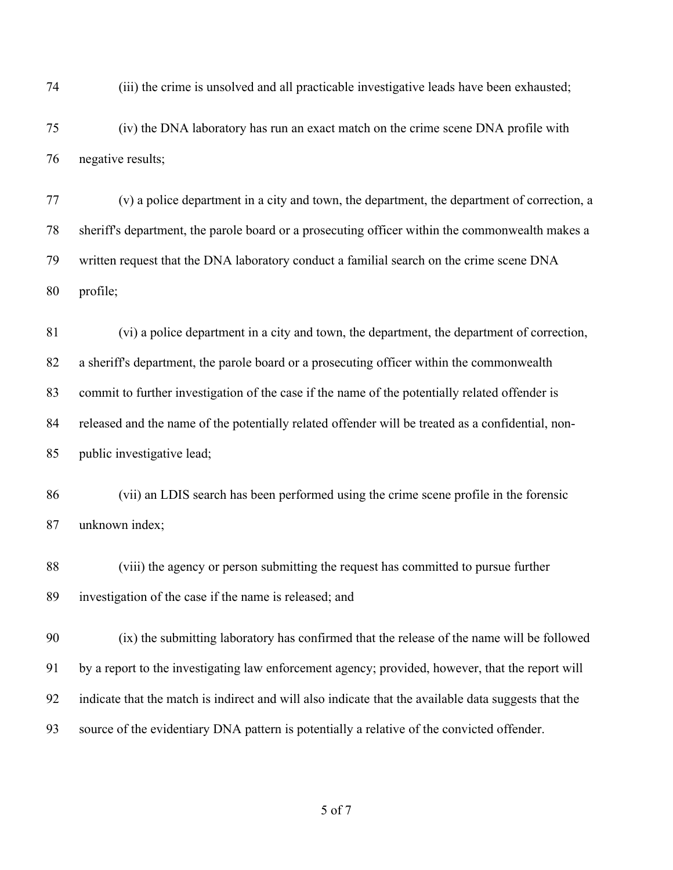(iii) the crime is unsolved and all practicable investigative leads have been exhausted;

 (iv) the DNA laboratory has run an exact match on the crime scene DNA profile with negative results;

 (v) a police department in a city and town, the department, the department of correction, a sheriff's department, the parole board or a prosecuting officer within the commonwealth makes a written request that the DNA laboratory conduct a familial search on the crime scene DNA profile;

 (vi) a police department in a city and town, the department, the department of correction, a sheriff's department, the parole board or a prosecuting officer within the commonwealth commit to further investigation of the case if the name of the potentially related offender is released and the name of the potentially related offender will be treated as a confidential, non-public investigative lead;

 (vii) an LDIS search has been performed using the crime scene profile in the forensic unknown index;

 (viii) the agency or person submitting the request has committed to pursue further investigation of the case if the name is released; and

 (ix) the submitting laboratory has confirmed that the release of the name will be followed by a report to the investigating law enforcement agency; provided, however, that the report will indicate that the match is indirect and will also indicate that the available data suggests that the source of the evidentiary DNA pattern is potentially a relative of the convicted offender.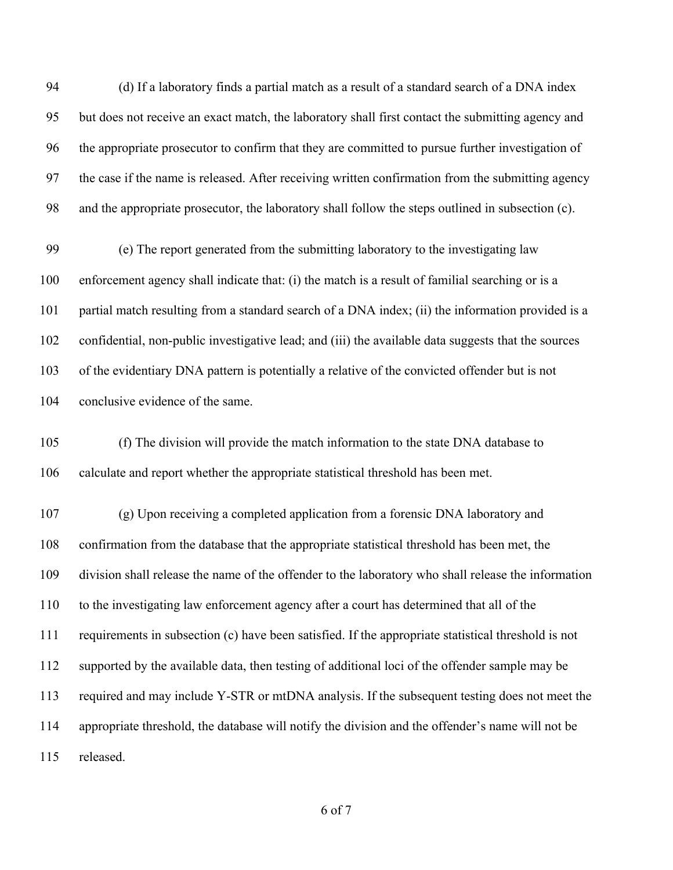(d) If a laboratory finds a partial match as a result of a standard search of a DNA index but does not receive an exact match, the laboratory shall first contact the submitting agency and the appropriate prosecutor to confirm that they are committed to pursue further investigation of the case if the name is released. After receiving written confirmation from the submitting agency and the appropriate prosecutor, the laboratory shall follow the steps outlined in subsection (c).

 (e) The report generated from the submitting laboratory to the investigating law enforcement agency shall indicate that: (i) the match is a result of familial searching or is a partial match resulting from a standard search of a DNA index; (ii) the information provided is a confidential, non-public investigative lead; and (iii) the available data suggests that the sources of the evidentiary DNA pattern is potentially a relative of the convicted offender but is not conclusive evidence of the same.

 (f) The division will provide the match information to the state DNA database to calculate and report whether the appropriate statistical threshold has been met.

 (g) Upon receiving a completed application from a forensic DNA laboratory and confirmation from the database that the appropriate statistical threshold has been met, the division shall release the name of the offender to the laboratory who shall release the information to the investigating law enforcement agency after a court has determined that all of the requirements in subsection (c) have been satisfied. If the appropriate statistical threshold is not supported by the available data, then testing of additional loci of the offender sample may be required and may include Y-STR or mtDNA analysis. If the subsequent testing does not meet the appropriate threshold, the database will notify the division and the offender's name will not be released.